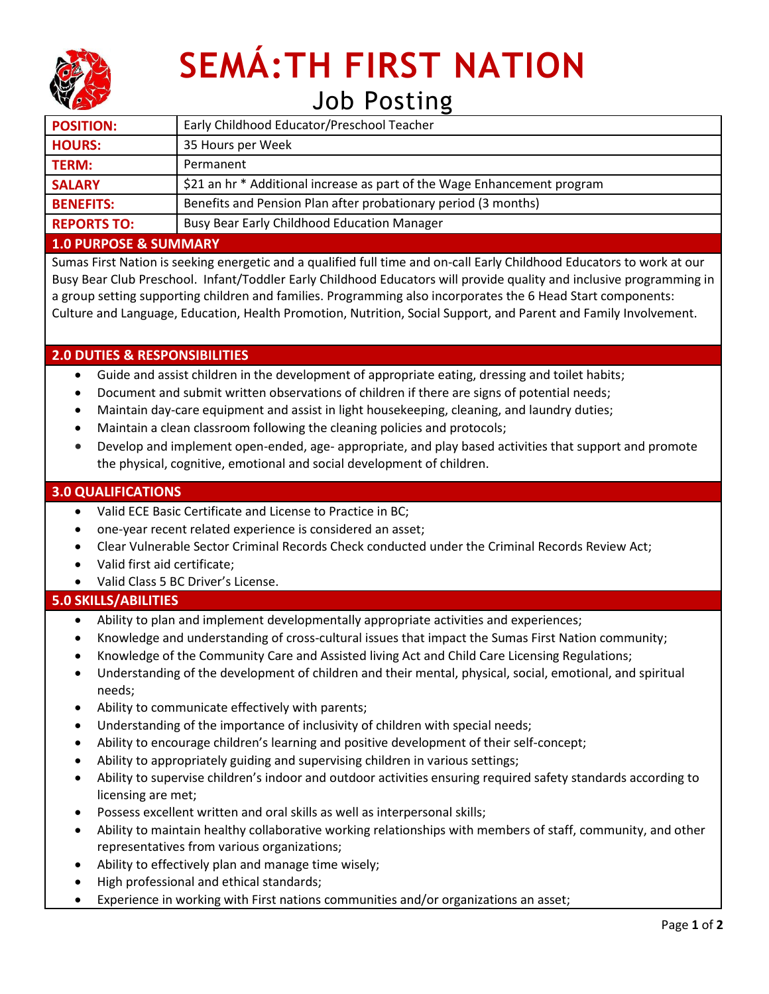

# **SEMÁ:TH FIRST NATION** Job Posting

| <b>POSITION:</b>   | Early Childhood Educator/Preschool Teacher                               |
|--------------------|--------------------------------------------------------------------------|
| <b>HOURS:</b>      | 35 Hours per Week                                                        |
| <b>TERM:</b>       | Permanent                                                                |
| <b>SALARY</b>      | \$21 an hr * Additional increase as part of the Wage Enhancement program |
| <b>BENEFITS:</b>   | Benefits and Pension Plan after probationary period (3 months)           |
| <b>REPORTS TO:</b> | <b>Busy Bear Early Childhood Education Manager</b>                       |

#### **1.0 PURPOSE & SUMMARY**

Sumas First Nation is seeking energetic and a qualified full time and on-call Early Childhood Educators to work at our Busy Bear Club Preschool. Infant/Toddler Early Childhood Educators will provide quality and inclusive programming in a group setting supporting children and families. Programming also incorporates the 6 Head Start components: Culture and Language, Education, Health Promotion, Nutrition, Social Support, and Parent and Family Involvement.

## **2.0 DUTIES & RESPONSIBILITIES**

- Guide and assist children in the development of appropriate eating, dressing and toilet habits;
- Document and submit written observations of children if there are signs of potential needs;
- Maintain day-care equipment and assist in light housekeeping, cleaning, and laundry duties;
- Maintain a clean classroom following the cleaning policies and protocols;
- Develop and implement open-ended, age- appropriate, and play based activities that support and promote the physical, cognitive, emotional and social development of children.

#### **3.0 QUALIFICATIONS**

- Valid ECE Basic Certificate and License to Practice in BC;
- one-year recent related experience is considered an asset;
- Clear Vulnerable Sector Criminal Records Check conducted under the Criminal Records Review Act;
- Valid first aid certificate;
- Valid Class 5 BC Driver's License.

### **5.0 SKILLS/ABILITIES**

- Ability to plan and implement developmentally appropriate activities and experiences;
- Knowledge and understanding of cross-cultural issues that impact the Sumas First Nation community;
- Knowledge of the Community Care and Assisted living Act and Child Care Licensing Regulations;
- Understanding of the development of children and their mental, physical, social, emotional, and spiritual needs;
- Ability to communicate effectively with parents;
- Understanding of the importance of inclusivity of children with special needs;
- Ability to encourage children's learning and positive development of their self-concept;
- Ability to appropriately guiding and supervising children in various settings;
- Ability to supervise children's indoor and outdoor activities ensuring required safety standards according to licensing are met;
- Possess excellent written and oral skills as well as interpersonal skills;
- Ability to maintain healthy collaborative working relationships with members of staff, community, and other representatives from various organizations;
- Ability to effectively plan and manage time wisely;
- High professional and ethical standards;
- Experience in working with First nations communities and/or organizations an asset;